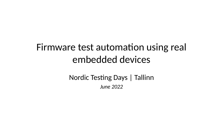## Firmware test automation using real embedded devices

Nordic Testing Days | Tallinn *June 2022*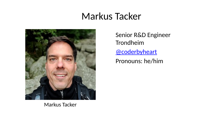### Markus Tacker



Senior R&D Engineer Trondheim [@coderbyheart](https://twitter.com/coderbyheart) Pronouns: he/him

Markus Tacker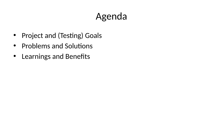# Agenda

- Project and (Testing) Goals
- Problems and Solutions
- Learnings and Benefits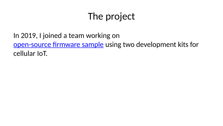# The project

In 2019, I joined a team working on [open-source firmware sample](https://github.com/nrfconnect/sdk-nrf/tree/v1.9.1/applications/asset_tracker_v2) using two development kits for cellular IoT.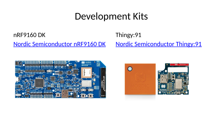### Development Kits

nRF9160 DK [Nordic Semiconductor nRF9160 DK](https://www.nordicsemi.com/Products/Development-hardware/nrf9160-dk)

#### Thingy:91

[Nordic Semiconductor Thingy:91](https://www.nordicsemi.com/Products/Development-hardware/Nordic-Thingy-91)



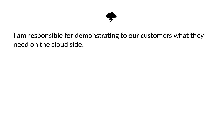

#### I am responsible for demonstrating to our customers what they need on the cloud side.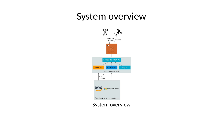#### System overview



#### System overview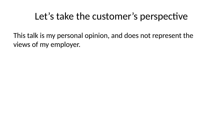### Let's take the customer's perspective

This talk is my personal opinion, and does not represent the views of my employer.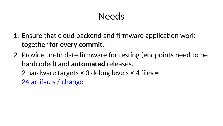## Needs

- 1. Ensure that cloud backend and firmware application work together **for every commit**.
- 2. Provide up-to date firmware for testing (endpoints need to be hardcoded) and **automated** releases. 2 hardware targets  $\times$  3 debug levels  $\times$  4 files =

[24 artifacts / change](https://github.com/NordicSemiconductor/asset-tracker-cloud-firmware-aws/releases/tag/v3.3.0)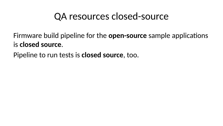#### QA resources closed-source

#### Firmware build pipeline for the **open-source** sample applications is **closed source**.

Pipeline to run tests is **closed source**, too.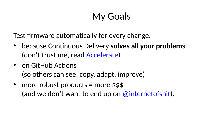# My Goals

Test firmware automatically for every change.

- because Continuous Delivery **solves all your problems** (don't trust me, read [Accelerate\)](https://itrevolution.com/book/accelerate/)
- on GitHub Actions (so others can see, copy, adapt, improve)
- more robust products = more \$\$\$ (and we don't want to end up on [@internetofshit\)](https://twitter.com/internetofshit).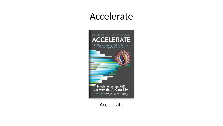### Accelerate



#### Accelerate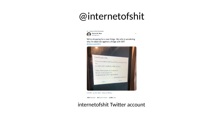## @internetofshit

 $\sim$ 



We're shopping for a new fridge. My wife is wondering why I'm dead set against a fridge with WiFi @internetofshit



2:45 PM - Jan 20, 2022 - Twitter for iPhone

384 Retweets 23 Ouote Tweets 2.410 Likes

#### internetofshit Twitter account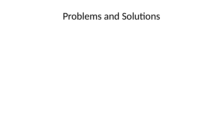#### Problems and Solutions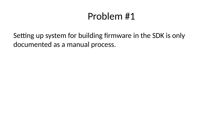## Problem #1

Setting up system for building firmware in the SDK is only documented as a manual process.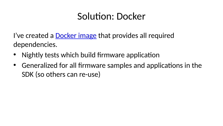## Solution: Docker

I've created a **Docker image** that provides all required dependencies.

- Nightly tests which build firmware application
- Generalized for all firmware samples and applications in the SDK (so others can re-use)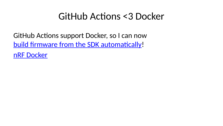### GitHub Actions <3 Docker

GitHub Actions support Docker, so I can now [build firmware from the SDK automatically!](https://github.com/NordicSemiconductor/asset-tracker-cloud-firmware-aws/blob/34d297f5fbfd43a1e6c55ab5e12d5ed7ee94655a/.github/workflows/build-and-release.yaml) [nRF Docker](https://github.com/NordicPlayground/nrf-docker)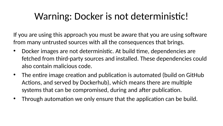## Warning: Docker is not deterministic!

If you are using this approach you must be aware that you are using software from many untrusted sources with all the consequences that brings.

- Docker images are not deterministic. At build time, dependencies are fetched from third-party sources and installed. These dependencies could also contain malicious code.
- The entire image creation and publication is automated (build on GitHub Actions, and served by Dockerhub), which means there are multiple systems that can be compromised, during and after publication.
- Through automation we only ensure that the application can be build.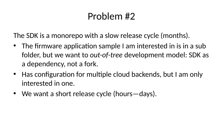## Problem #2

The SDK is a monorepo with a slow release cycle (months).

- The firmware application sample I am interested in is in a sub folder, but we want to *out-of-tree* development model: SDK as a dependency, not a fork.
- Has configuration for multiple cloud backends, but I am only interested in one.
- We want a short release cycle (hours—days).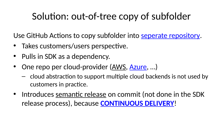## Solution: out-of-tree copy of subfolder

Use GitHub Actions to copy subfolder into [seperate repository.](https://github.com/NordicSemiconductor/asset-tracker-cloud-firmware-aws/)

- Takes customers/users perspective.
- Pulls in SDK as a dependency.
- One repo per cloud-provider [\(AWS,](https://github.com/NordicSemiconductor/asset-tracker-cloud-firmware-aws/) [Azure,](https://github.com/NordicSemiconductor/asset-tracker-cloud-firmware-azure/) ...)
	- cloud abstraction to support multiple cloud backends is not used by customers in practice.
- Introduces [semantic release](https://github.com/semantic-release/semantic-release) on commit (not done in the SDK release process), because **[CONTINUOUS DELIVERY](https://itrevolution.com/book/accelerate/)**!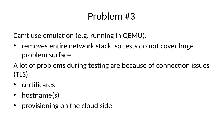## Problem #3

Can't use emulation (e.g. running in QEMU).

• removes entire network stack, so tests do not cover huge problem surface.

A lot of problems during testing are because of connection issues (TLS):

- certificates
- hostname(s)
- provisioning on the cloud side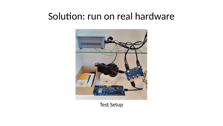### Solution: run on real hardware



Test Setup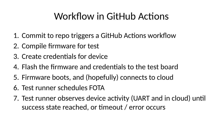# Workflow in GitHub Actions

- 1. Commit to repo triggers a GitHub Actions workflow
- 2. Compile firmware for test
- 3. Create credentials for device
- 4. Flash the firmware and credentials to the test board
- 5. Firmware boots, and (hopefully) connects to cloud
- 6. Test runner schedules FOTA
- 7. Test runner observes device activity (UART and in cloud) until success state reached, or timeout / error occurs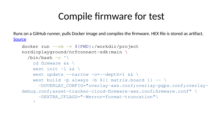## Compile firmware for test

Runs on a GitHub runner, pulls Docker image and compiles the firmware. HEX file is stored as artifact. [Source](https://github.com/NordicSemiconductor/asset-tracker-cloud-firmware-aws/blob/34d297f5fbfd43a1e6c55ab5e12d5ed7ee94655a/.github/workflows/build-and-release.yaml#L118)

```
docker run --rm -v ${PWD}:/workdir/project 
nordicplayground/nrfconnect-sdk:main \
  /bin/bash -c '\
     cd firmware && \
    west init -1 && \
    west update --narrow -o=--depth=1 && \
    west build -p always -b \S{{ matrix.board }} -- \
       -DOVERLAY_CONFIG="overlay-aws.conf;overlay-pgps.conf;overlay-
debug.conf;asset-tracker-cloud-firmware-aws.conf;firmware.conf" \
       -DEXTRA_CFLAGS="-Werror=format-truncation"\
 '
```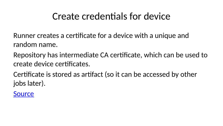## Create credentials for device

Runner creates a certificate for a device with a unique and random name.

Repository has intermediate CA certificate, which can be used to create device certificates.

Certificate is stored as artifact (so it can be accessed by other jobs later).

**[Source](https://github.com/NordicSemiconductor/asset-tracker-cloud-firmware-aws/blob/34d297f5fbfd43a1e6c55ab5e12d5ed7ee94655a/.github/workflows/build-and-release.yaml#L195-L210)**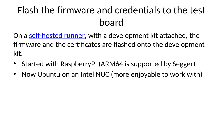# Flash the firmware and credentials to the test board

On a [self-hosted runner,](https://docs.github.com/en/actions/hosting-your-own-runners/about-self-hosted-runners) with a development kit attached, the firmware and the certificates are flashed onto the development kit.

- Started with RaspberryPI (ARM64 is supported by Segger)
- Now Ubuntu on an Intel NUC (more enjoyable to work with)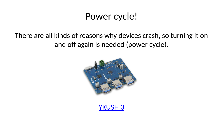### Power cycle!

#### There are all kinds of reasons why devices crash, so turning it on and off again is needed (power cycle).



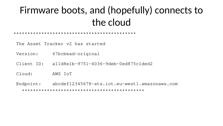# Firmware boots, and (hopefully) connects to the cloud

#### \*\*\*\*\*\*\*\*\*\*\*\*\*\*\*\*\*\*\*\*\*\*\*\*\*\*\*\*\*\*\*\*\*\*\*\*\*\*\*\*\*\*\*\*

The Asset Tracker v2 has started

Version: 67bcbead-original

Client ID: a11d8e1b-9751-4036-9deb-0ed875c1ded2

Cloud: AWS IoT

Endpoint: abcdef12345678-ats.iot.eu-west1.amazonaws.com \*\*\*\*\*\*\*\*\*\*\*\*\*\*\*\*\*\*\*\*\*\*\*\*\*\*\*\*\*\*\*\*\*\*\*\*\*\*\*\*\*\*\*\*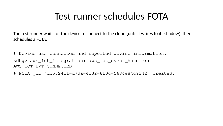## Test runner schedules FOTA

The test runner waits for the device to connect to the cloud (until it writes to its shadow), then schedules a FOTA.

# Device has connected and reported device information. <dbg> aws\_iot\_integration: aws\_iot\_event\_handler: AWS\_IOT\_EVT\_CONNECTED

# FOTA job "db572411-d7da-4c32-8f0c-5684e84c9242" created.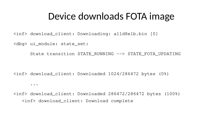#### Device downloads FOTA image

<inf> download\_client: Downloading: a11d8e1b.bin [0]

<dbg> ui\_module: state\_set:

...

State transition STATE\_RUNNING --> STATE\_FOTA\_UPDATING

<inf> download\_client: Downloaded 1024/286472 bytes (0%)

<inf> download\_client: Downloaded 286472/286472 bytes (100%) <inf> download\_client: Download complete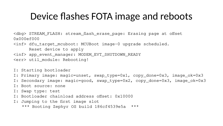### Device flashes FOTA image and reboots

<dbg> STREAM\_FLASH: stream\_flash\_erase\_page: Erasing page at offset 0x000ef000

<inf> dfu\_target\_mcuboot: MCUBoot image-0 upgrade scheduled. Reset device to apply <inf> app\_event\_manager: MODEM\_EVT\_SHUTDOWN\_READY

<err> util\_module: Rebooting!

I: Starting bootloader

I: Primary image: magic=unset, swap\_type=0x1, copy\_done=0x3, image\_ok=0x3

- I: Secondary image: magic=good, swap\_type=0x2, copy\_done=0x3, image\_ok=0x3
- I: Boot source: none
- I: Swap type: test
- I: Bootloader chainload address offset: 0x10000
- I: Jumping to the first image slot

\*\*\* Booting Zephyr OS build 186cf4539e5a \*\*\*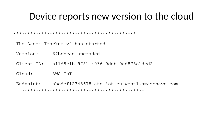#### Device reports new version to the cloud

\*\*\*\*\*\*\*\*\*\*\*\*\*\*\*\*\*\*\*\*\*\*\*\*\*\*\*\*\*\*\*\*\*\*\*\*\*\*\*\*\*\*\*\*

The Asset Tracker v2 has started

Version: 67bcbead-upgraded

Client ID: a11d8e1b-9751-4036-9deb-0ed875c1ded2

Cloud: AWS IoT

Endpoint: abcdef12345678-ats.iot.eu-west1.amazonaws.com \*\*\*\*\*\*\*\*\*\*\*\*\*\*\*\*\*\*\*\*\*\*\*\*\*\*\*\*\*\*\*\*\*\*\*\*\*\*\*\*\*\*\*\*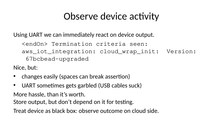## Observe device activity

Using UART we can immediately react on device output.

<endOn> Termination criteria seen: aws\_iot\_integration: cloud\_wrap\_init: Version: 67bcbead-upgraded

Nice, but:

- changes easily (spaces can break assertion)
- UART sometimes gets garbled (USB cables suck)

More hassle, than it's worth.

Store output, but don't depend on it for testing.

Treat device as black box: observe outcome on cloud side.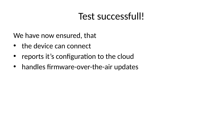## Test successfull!

We have now ensured, that

- the device can connect
- reports it's configuration to the cloud
- handles firmware-over-the-air updates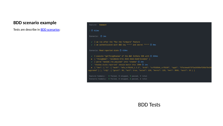#### **BDD scenario example**

Tests are describe in [BDD scenarios:](https://github.com/NordicSemiconductor/asset-tracker-cloud-firmware-aws/blob/c15489e4254cdfa83e115720a815e507bfeb2683/features/Connect.feature)

#### Feature: Connect

 $\overline{O}$  411ms

- I am run after the "Run the firmware" feature
- / I am authenticated with AWS key "\*\*\*" and secret "\*\*\*" @ 0ms

Scenario: Read reported state © 410ms

- / I execute "getThingShadow" of the AWS IotData SDK with @ 404ms
- F { "thingName": "a11d8e1b-9751-4036-9deb-0ed875c1ded2" }
- I parse "awsSdk.res.payload" into "shadow"  $\ddot{\textcircled{}}$  2ms
- v "shadow.state.reported" should match this JSON @ 1ms

F { "dev": { "v": { "modV": "mfw\_nrf9160\_1.3.1", "brdV": "nrf9160dk\_nrf9160", "appV": "67bcbead673f5a16908ef396b79e39 upgraded" } }, "cfg": { "gnsst": 60, "act": true, "actwt": 120, "mvres": 120, "mvt": 3600, "acct": 10 } }

Feature Summary: 0 failed, 0 skipped, 3 passed, 3 total Scenario Summary: 0 failed, 0 skipped, 4 passed, 4 total

#### BDD Tests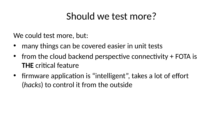## Should we test more?

We could test more, but:

- many things can be covered easier in unit tests
- from the cloud backend perspective connectivity + FOTA is **THE** critical feature
- firmware application is "intelligent", takes a lot of effort (*hacks*) to control it from the outside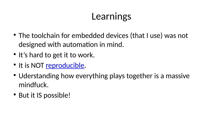# **Learnings**

- The toolchain for embedded devices (that I use) was not designed with automation in mind.
- It's hard to get it to work.
- It is NOT <u>reproducible</u>.
- Uderstanding how everything plays together is a massive mindfuck.
- But it IS possible!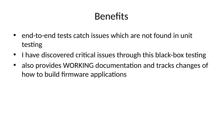## **Benefits**

- end-to-end tests catch issues which are not found in unit testing
- I have discovered critical issues through this black-box testing
- also provides WORKING documentation and tracks changes of how to build firmware applications